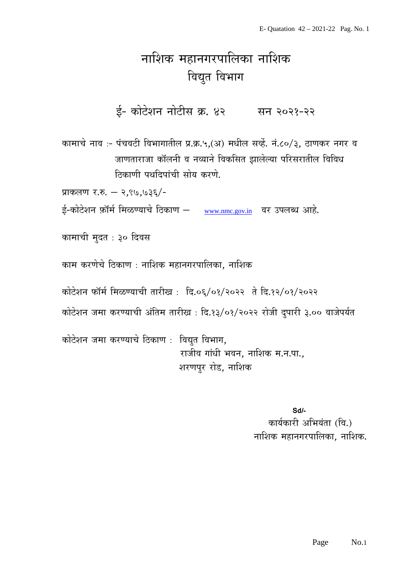# नाशिक महानगरपालिका नाशिक विद्युत विभाग

ई- कोटेशन नोटीस क्र. ४२ सन २०२१-२२

कामाचे नाव :- पंचवटी विभागातील प्र.क्र.५,(अ) मधील सर्व्हे. नं.८०/३, ठाणकर नगर व जाणताराजा कॉलनी व नव्याने विकसित झालेल्या परिसरातील विविध टिकाणी पथदिपांची सोय करणे.

प्राकलण र.रु. – २,९७,७३६/-

ई-कोटेशन फ़ॉर्म मिळण्याचे ठिकाण – [www.nmc.gov.in](http://www.nmc.gov.in/) वर उपलब्ध आहे.

कामाची मुदत : ३० दिवस

काम करणेचे ठिकाण : नाशिक महानगरपालिका, नाशिक

 $\vec{a}$ कोटेशन फॉर्म मिळण्याची तारीख: दि.०६/०१/२०२२ ते दि.१२/०१/२०२२

कोटेशन जमा करण्याची अंतिम तारीख : दि.१३/०१/२०२२ रोजी दुपारी ३.०० वाजेपर्यत

कोटेशन जमा करण्याचे ठिकाण : विद्युत विभाग, राजीव गांधी भवन, नाशिक म.न.पा., शरणपुर रोड, नाशिक

> **Sd/-** कार्यकारी अभियंता (वि.) नाशिक महानगरपालिका. नाशिक.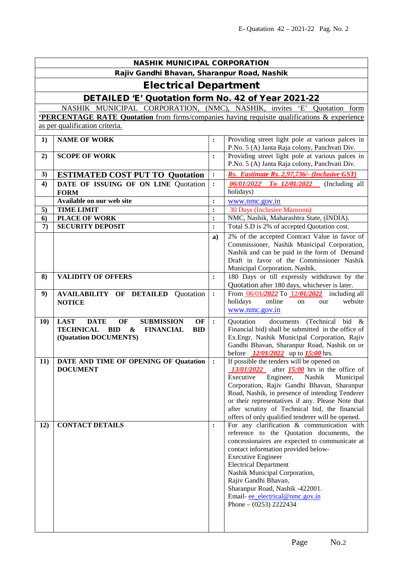| <b>NASHIK MUNICIPAL CORPORATION</b>         |                                                                                                                                                                               |                |                                                                                                                                                                                                                                                                                                                                                                                                              |  |  |  |
|---------------------------------------------|-------------------------------------------------------------------------------------------------------------------------------------------------------------------------------|----------------|--------------------------------------------------------------------------------------------------------------------------------------------------------------------------------------------------------------------------------------------------------------------------------------------------------------------------------------------------------------------------------------------------------------|--|--|--|
| Rajiv Gandhi Bhavan, Sharanpur Road, Nashik |                                                                                                                                                                               |                |                                                                                                                                                                                                                                                                                                                                                                                                              |  |  |  |
| <b>Electrical Department</b>                |                                                                                                                                                                               |                |                                                                                                                                                                                                                                                                                                                                                                                                              |  |  |  |
|                                             | DETAILED 'E' Quotation form No. 42 of Year 2021-22                                                                                                                            |                |                                                                                                                                                                                                                                                                                                                                                                                                              |  |  |  |
|                                             | NASHIK MUNICIPAL CORPORATION, (NMC), NASHIK, invites 'E' Quotation form                                                                                                       |                |                                                                                                                                                                                                                                                                                                                                                                                                              |  |  |  |
|                                             | <b>PERCENTAGE RATE Quotation</b> from firms/companies having requisite qualifications & experience                                                                            |                |                                                                                                                                                                                                                                                                                                                                                                                                              |  |  |  |
|                                             | as per qualification criteria.                                                                                                                                                |                |                                                                                                                                                                                                                                                                                                                                                                                                              |  |  |  |
| $\bf{1}$                                    | <b>NAME OF WORK</b>                                                                                                                                                           | :              | Providing street light pole at various palces in<br>P.No. 5 (A) Janta Raja colony, Panchvati Div.                                                                                                                                                                                                                                                                                                            |  |  |  |
| 2)                                          | <b>SCOPE OF WORK</b>                                                                                                                                                          | :              | Providing street light pole at various palces in<br>P.No. 5 (A) Janta Raja colony, Panchvati Div.                                                                                                                                                                                                                                                                                                            |  |  |  |
| 3)                                          | <b>ESTIMATED COST PUT TO Quotation</b>                                                                                                                                        | $\ddot{\cdot}$ | Rs. Eastimate Rs. 2,97,736/- (Inclusive GST)                                                                                                                                                                                                                                                                                                                                                                 |  |  |  |
| 4)                                          | DATE OF ISSUING OF ON LINE Quotation<br><b>FORM</b>                                                                                                                           | $\ddot{\cdot}$ | To 12/01/2022<br>06/01/2022<br>(Including all<br>holidays)                                                                                                                                                                                                                                                                                                                                                   |  |  |  |
|                                             | Available on our web site                                                                                                                                                     | :              | www.nmc.gov.in                                                                                                                                                                                                                                                                                                                                                                                               |  |  |  |
| 5)                                          | <b>TIME LIMIT</b>                                                                                                                                                             | :              | <b>30 Days (Inclusive Mansoon)</b>                                                                                                                                                                                                                                                                                                                                                                           |  |  |  |
| 6)                                          | <b>PLACE OF WORK</b>                                                                                                                                                          | $\ddot{\cdot}$ | NMC, Nashik, Maharashtra State, (INDIA).                                                                                                                                                                                                                                                                                                                                                                     |  |  |  |
| $\mathcal{L}$                               | <b>SECURITY DEPOSIT</b>                                                                                                                                                       | :              | Total S.D is 2% of accepted Quotation cost.                                                                                                                                                                                                                                                                                                                                                                  |  |  |  |
|                                             |                                                                                                                                                                               | a)             | 2% of the accepted Contract Value in favor of<br>Commissioner, Nashik Municipal Corporation,<br>Nashik and can be paid in the form of Demand                                                                                                                                                                                                                                                                 |  |  |  |
|                                             |                                                                                                                                                                               |                | Draft in favor of the Commissioner Nashik<br>Municipal Corporation. Nashik.                                                                                                                                                                                                                                                                                                                                  |  |  |  |
| 8)                                          | <b>VALIDITY OF OFFERS</b>                                                                                                                                                     | :              | 180 Days or till expressly withdrawn by the<br>Quotation after 180 days, whichever is later.                                                                                                                                                                                                                                                                                                                 |  |  |  |
| 9)                                          | <b>AVAILABILITY OF DETAILED</b><br>Quotation<br><b>NOTICE</b>                                                                                                                 | $\ddot{\cdot}$ | From 06/01/2022 To 12/01/2022 including all<br>holidays<br>online<br>website<br>on<br>our<br>www.nmc.gov.in                                                                                                                                                                                                                                                                                                  |  |  |  |
| <b>10)</b>                                  | <b>LAST</b><br><b>DATE</b><br>OF<br><b>SUBMISSION</b><br>OF<br><b>TECHNICAL</b><br><b>BID</b><br><b>BID</b><br><b>FINANCIAL</b><br>$\boldsymbol{\&}$<br>(Quatation DOCUMENTS) | $\cdot$        | documents<br>(Technical bid<br>Quotation<br>$\&$<br>Financial bid) shall be submitted in the office of<br>Ex.Engr, Nashik Municipal Corporation, Rajiv<br>Gandhi Bhavan, Sharanpur Road, Nashik on or<br>before $12/01/2022$ up to $15:00$ hrs.                                                                                                                                                              |  |  |  |
| 11)                                         | DATE AND TIME OF OPENING OF Quatation<br><b>DOCUMENT</b>                                                                                                                      | $\ddot{\cdot}$ | If possible the tenders will be opened on<br>13/01/2022<br>after $15:00$ hrs in the office of<br>Nashik<br>Executive<br>Engineer,<br>Municipal<br>Corporation, Rajiv Gandhi Bhavan, Sharanpur<br>Road, Nashik, in presence of intending Tenderer<br>or their representatives if any. Please Note that<br>after scrutiny of Technical bid, the financial<br>offers of only qualified tenderer will be opened. |  |  |  |
| 12)                                         | <b>CONTACT DETAILS</b>                                                                                                                                                        | :              | For any clarification & communication with<br>reference to the Quotation documents, the<br>concessionaires are expected to communicate at<br>contact information provided below-<br><b>Executive Engineer</b><br><b>Electrical Department</b><br>Nashik Municipal Corporation,<br>Rajiv Gandhi Bhavan,<br>Sharanpur Road, Nashik -422001.<br>Email-ee electrical@nmc.gov.in<br>Phone $- (0253)$ 2222434      |  |  |  |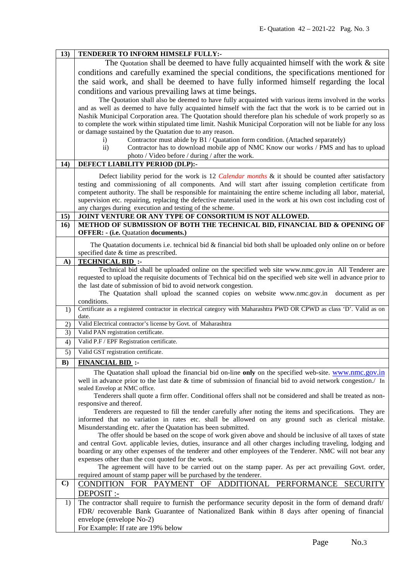| 13)          | TENDERER TO INFORM HIMSELF FULLY:-                                                                                                                                                                                            |  |  |
|--------------|-------------------------------------------------------------------------------------------------------------------------------------------------------------------------------------------------------------------------------|--|--|
|              | The Quotation shall be deemed to have fully acquainted himself with the work $\&$ site                                                                                                                                        |  |  |
|              | conditions and carefully examined the special conditions, the specifications mentioned for                                                                                                                                    |  |  |
|              | the said work, and shall be deemed to have fully informed himself regarding the local                                                                                                                                         |  |  |
|              | conditions and various prevailing laws at time beings.                                                                                                                                                                        |  |  |
|              |                                                                                                                                                                                                                               |  |  |
|              | The Quotation shall also be deemed to have fully acquainted with various items involved in the works                                                                                                                          |  |  |
|              | and as well as deemed to have fully acquainted himself with the fact that the work is to be carried out in                                                                                                                    |  |  |
|              | Nashik Municipal Corporation area. The Quotation should therefore plan his schedule of work properly so as<br>to complete the work within stipulated time limit. Nashik Municipal Corporation will not be liable for any loss |  |  |
|              | or damage sustained by the Quatation due to any reason.                                                                                                                                                                       |  |  |
|              | Contractor must abide by B1 / Quatation form condition. (Attached separately)<br>$\mathbf{i}$                                                                                                                                 |  |  |
|              | Contractor has to download mobile app of NMC Know our works / PMS and has to upload<br>$\overline{11}$ )                                                                                                                      |  |  |
|              | photo / Video before / during / after the work.                                                                                                                                                                               |  |  |
| 14)          | <b>DEFECT LIABILITY PERIOD (DLP):-</b>                                                                                                                                                                                        |  |  |
|              | Defect liability period for the work is 12 <i>Calendar months &amp;</i> it should be counted after satisfactory                                                                                                               |  |  |
|              | testing and commissioning of all components. And will start after issuing completion certificate from                                                                                                                         |  |  |
|              | competent authority. The shall be responsible for maintaining the entire scheme including all labor, material,                                                                                                                |  |  |
|              | supervision etc. repairing, replacing the defective material used in the work at his own cost including cost of                                                                                                               |  |  |
|              | any charges during execution and testing of the scheme.                                                                                                                                                                       |  |  |
| 15)          | JOINT VENTURE OR ANY TYPE OF CONSORTIUM IS NOT ALLOWED.                                                                                                                                                                       |  |  |
| 16)          | METHOD OF SUBMISSION OF BOTH THE TECHNICAL BID, FINANCIAL BID & OPENING OF                                                                                                                                                    |  |  |
|              | <b>OFFER: - (i.e. Quatation documents.)</b>                                                                                                                                                                                   |  |  |
|              | The Quatation documents i.e. technical bid & financial bid both shall be uploaded only online on or before                                                                                                                    |  |  |
|              | specified date & time as prescribed.                                                                                                                                                                                          |  |  |
| $\mathbf{A}$ | <b>TECHNICAL BID:</b>                                                                                                                                                                                                         |  |  |
|              | Technical bid shall be uploaded online on the specified web site www.nmc.gov.in All Tenderer are                                                                                                                              |  |  |
|              | requested to upload the requisite documents of Technical bid on the specified web site well in advance prior to                                                                                                               |  |  |
|              | the last date of submission of bid to avoid network congestion.                                                                                                                                                               |  |  |
|              | The Quatation shall upload the scanned copies on website www.nmc.gov.in<br>document as per                                                                                                                                    |  |  |
|              | conditions.<br>Certificate as a registered contractor in electrical category with Maharashtra PWD OR CPWD as class 'D'. Valid as on                                                                                           |  |  |
| 1)           | date.                                                                                                                                                                                                                         |  |  |
| 2)           | Valid Electrical contractor's license by Govt. of Maharashtra                                                                                                                                                                 |  |  |
| 3)           | Valid PAN registration certificate.                                                                                                                                                                                           |  |  |
| 4)           | Valid P.F / EPF Registration certificate.                                                                                                                                                                                     |  |  |
| 5)           | Valid GST registration certificate.                                                                                                                                                                                           |  |  |
| B)           | <b>FINANCIAL BID:</b>                                                                                                                                                                                                         |  |  |
|              | The Quatation shall upload the financial bid on-line only on the specified web-site. www.nmc.gov.in                                                                                                                           |  |  |
|              | well in advance prior to the last date & time of submission of financial bid to avoid network congestion./ In                                                                                                                 |  |  |
|              | sealed Envelop at NMC office.                                                                                                                                                                                                 |  |  |
|              | Tenderers shall quote a firm offer. Conditional offers shall not be considered and shall be treated as non-                                                                                                                   |  |  |
|              | responsive and thereof.                                                                                                                                                                                                       |  |  |
|              | Tenderers are requested to fill the tender carefully after noting the items and specifications. They are<br>informed that no variation in rates etc. shall be allowed on any ground such as clerical mistake.                 |  |  |
|              | Misunderstanding etc. after the Quatation has been submitted.                                                                                                                                                                 |  |  |
|              | The offer should be based on the scope of work given above and should be inclusive of all taxes of state                                                                                                                      |  |  |
|              | and central Govt. applicable levies, duties, insurance and all other charges including traveling, lodging and                                                                                                                 |  |  |
|              | boarding or any other expenses of the tenderer and other employees of the Tenderer. NMC will not bear any                                                                                                                     |  |  |
|              | expenses other than the cost quoted for the work.                                                                                                                                                                             |  |  |
|              | The agreement will have to be carried out on the stamp paper. As per act prevailing Govt. order,                                                                                                                              |  |  |
|              | required amount of stamp paper will be purchased by the tenderer.                                                                                                                                                             |  |  |
| $\mathbf{C}$ | CONDITION FOR PAYMENT OF ADDITIONAL PERFORMANCE<br>SECURITY                                                                                                                                                                   |  |  |
|              | DEPOSIT :-                                                                                                                                                                                                                    |  |  |
| 1)           | The contractor shall require to furnish the performance security deposit in the form of demand draft/                                                                                                                         |  |  |
|              | FDR/ recoverable Bank Guarantee of Nationalized Bank within 8 days after opening of financial                                                                                                                                 |  |  |
|              | envelope (envelope No-2)                                                                                                                                                                                                      |  |  |
|              | For Example: If rate are 19% below                                                                                                                                                                                            |  |  |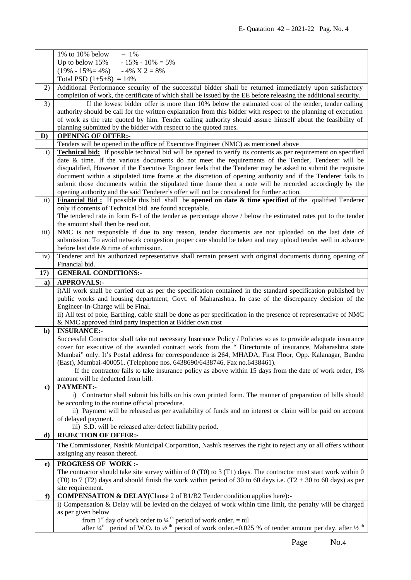|               | 1% to 10% below<br>$-1\%$                                                                                                                                                 |  |  |
|---------------|---------------------------------------------------------------------------------------------------------------------------------------------------------------------------|--|--|
|               | $-15\% - 10\% = 5\%$<br>Up to below 15%                                                                                                                                   |  |  |
|               | $(19\% - 15\% = 4\%)$<br>$-4\% \text{ X } 2 = 8\%$                                                                                                                        |  |  |
|               | Total PSD $(1+5+8) = 14\%$                                                                                                                                                |  |  |
| 2)            | Additional Performance security of the successful bidder shall be returned immediately upon satisfactory                                                                  |  |  |
|               | completion of work, the certificate of which shall be issued by the EE before releasing the additional security.                                                          |  |  |
| 3)            | If the lowest bidder offer is more than 10% below the estimated cost of the tender, tender calling                                                                        |  |  |
|               | authority should be call for the written explanation from this bidder with respect to the planning of execution                                                           |  |  |
|               | of work as the rate quoted by him. Tender calling authority should assure himself about the feasibility of                                                                |  |  |
|               | planning submitted by the bidder with respect to the quoted rates.                                                                                                        |  |  |
| D)            | <b>OPENING OF OFFER:-</b>                                                                                                                                                 |  |  |
|               | Tenders will be opened in the office of Executive Engineer (NMC) as mentioned above                                                                                       |  |  |
| i)            | <b>Technical bid:</b> If possible technical bid will be opened to verify its contents as per requirement on specified                                                     |  |  |
|               | date & time. If the various documents do not meet the requirements of the Tender, Tenderer will be                                                                        |  |  |
|               | disqualified, However if the Executive Engineer feels that the Tenderer may be asked to submit the requisite                                                              |  |  |
|               | document within a stipulated time frame at the discretion of opening authority and if the Tenderer fails to                                                               |  |  |
|               | submit those documents within the stipulated time frame then a note will be recorded accordingly by the                                                                   |  |  |
|               | opening authority and the said Tenderer's offer will not be considered for further action.                                                                                |  |  |
| $\mathbf{ii}$ | Financial Bid: If possible this bid shall be opened on date & time specified of the qualified Tenderer                                                                    |  |  |
|               | only if contents of Technical bid are found acceptable.                                                                                                                   |  |  |
|               | The tendered rate in form B-1 of the tender as percentage above / below the estimated rates put to the tender                                                             |  |  |
|               | the amount shall then be read out.                                                                                                                                        |  |  |
| iii)          | NMC is not responsible if due to any reason, tender documents are not uploaded on the last date of                                                                        |  |  |
|               | submission. To avoid network congestion proper care should be taken and may upload tender well in advance                                                                 |  |  |
|               | before last date & time of submission.                                                                                                                                    |  |  |
| iv)           | Tenderer and his authorized representative shall remain present with original documents during opening of                                                                 |  |  |
|               | Financial bid.                                                                                                                                                            |  |  |
| 17)           | <b>GENERAL CONDITIONS:-</b>                                                                                                                                               |  |  |
| a)            | <b>APPROVALS:-</b>                                                                                                                                                        |  |  |
|               | i)All work shall be carried out as per the specification contained in the standard specification published by                                                             |  |  |
|               | public works and housing department, Govt. of Maharashtra. In case of the discrepancy decision of the                                                                     |  |  |
|               | Engineer-In-Charge will be Final.                                                                                                                                         |  |  |
|               | ii) All test of pole, Earthing, cable shall be done as per specification in the presence of representative of NMC                                                         |  |  |
|               | & NMC approved third party inspection at Bidder own cost                                                                                                                  |  |  |
| $\mathbf{b}$  | <b>INSURANCE:-</b>                                                                                                                                                        |  |  |
|               | Successful Contractor shall take out necessary Insurance Policy / Policies so as to provide adequate insurance                                                            |  |  |
|               | cover for executive of the awarded contract work from the " Directorate of insurance, Maharashtra state                                                                   |  |  |
|               | Mumbai" only. It's Postal address for correspondence is 264, MHADA, First Floor, Opp. Kalanagar, Bandra                                                                   |  |  |
|               | (East), Mumbai-400051. (Telephone nos. 6438690/6438746, Fax no.6438461).                                                                                                  |  |  |
|               | If the contractor fails to take insurance policy as above within 15 days from the date of work order, 1%                                                                  |  |  |
|               | amount will be deducted from bill.                                                                                                                                        |  |  |
| $\bf c)$      | PAYMENT:-                                                                                                                                                                 |  |  |
|               | i) Contractor shall submit his bills on his own printed form. The manner of preparation of bills should                                                                   |  |  |
|               | be according to the routine official procedure.                                                                                                                           |  |  |
|               | ii) Payment will be released as per availability of funds and no interest or claim will be paid on account<br>of delayed payment.                                         |  |  |
|               | iii) S.D. will be released after defect liability period.                                                                                                                 |  |  |
| d)            | <b>REJECTION OF OFFER:-</b>                                                                                                                                               |  |  |
|               |                                                                                                                                                                           |  |  |
|               | The Commissioner, Nashik Municipal Corporation, Nashik reserves the right to reject any or all offers without                                                             |  |  |
|               | assigning any reason thereof.                                                                                                                                             |  |  |
| e)            | <b>PROGRESS OF WORK:-</b>                                                                                                                                                 |  |  |
|               | The contractor should take site survey within of $0(T0)$ to $3(T1)$ days. The contractor must start work within $0$                                                       |  |  |
|               | (T0) to 7 (T2) days and should finish the work within period of 30 to 60 days i.e. $(T2 + 30)$ to 60 days) as per                                                         |  |  |
|               | site requirement.                                                                                                                                                         |  |  |
| f             | <b>COMPENSATION &amp; DELAY</b> (Clause 2 of B1/B2 Tender condition applies here):-                                                                                       |  |  |
|               | i) Compensation & Delay will be levied on the delayed of work within time limit, the penalty will be charged                                                              |  |  |
|               | as per given below                                                                                                                                                        |  |  |
|               | from 1 <sup>st</sup> day of work order to $\frac{1}{4}$ <sup>th</sup> period of work order. = nil                                                                         |  |  |
|               | after $\frac{1}{4}$ <sup>th</sup> period of W.O. to $\frac{1}{2}$ <sup>th</sup> period of work order.=0.025 % of tender amount per day. after $\frac{1}{2}$ <sup>th</sup> |  |  |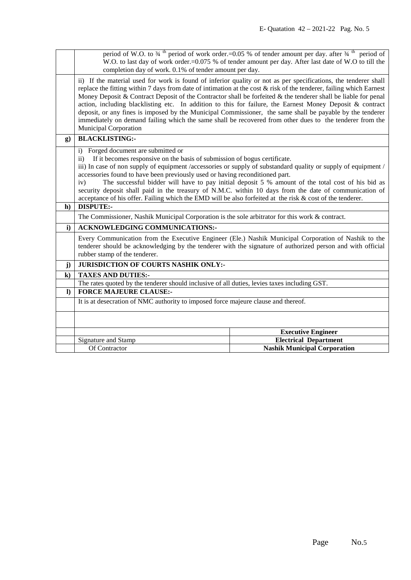|              | period of W.O. to $\frac{3}{4}$ <sup>th</sup> period of work order.=0.05 % of tender amount per day. after $\frac{3}{4}$ <sup>th</sup> period of<br>W.O. to last day of work order.=0.075 % of tender amount per day. After last date of W.O to till the                                                                                                                                                                                                                                                                                                                                                                                                                                                                      |                                     |  |
|--------------|-------------------------------------------------------------------------------------------------------------------------------------------------------------------------------------------------------------------------------------------------------------------------------------------------------------------------------------------------------------------------------------------------------------------------------------------------------------------------------------------------------------------------------------------------------------------------------------------------------------------------------------------------------------------------------------------------------------------------------|-------------------------------------|--|
|              | completion day of work. 0.1% of tender amount per day.                                                                                                                                                                                                                                                                                                                                                                                                                                                                                                                                                                                                                                                                        |                                     |  |
|              | ii) If the material used for work is found of inferior quality or not as per specifications, the tenderer shall<br>replace the fitting within 7 days from date of intimation at the cost $\&$ risk of the tenderer, failing which Earnest<br>Money Deposit & Contract Deposit of the Contractor shall be forfeited $\&$ the tenderer shall be liable for penal<br>action, including blacklisting etc. In addition to this for failure, the Earnest Money Deposit & contract<br>deposit, or any fines is imposed by the Municipal Commissioner, the same shall be payable by the tenderer<br>immediately on demand failing which the same shall be recovered from other dues to the tenderer from the<br>Municipal Corporation |                                     |  |
| $\mathbf{g}$ | <b>BLACKLISTING:-</b>                                                                                                                                                                                                                                                                                                                                                                                                                                                                                                                                                                                                                                                                                                         |                                     |  |
|              | i) Forged document are submitted or<br>If it becomes responsive on the basis of submission of bogus certificate.<br>$\ddot{1}$<br>iii) In case of non supply of equipment /accessories or supply of substandard quality or supply of equipment /<br>accessories found to have been previously used or having reconditioned part.<br>The successful bidder will have to pay initial deposit 5 % amount of the total cost of his bid as<br>iv)<br>security deposit shall paid in the treasury of N.M.C. within 10 days from the date of communication of<br>acceptance of his offer. Failing which the EMD will be also forfeited at the risk $\&$ cost of the tenderer.                                                        |                                     |  |
| $\mathbf{h}$ | <b>DISPUTE:-</b>                                                                                                                                                                                                                                                                                                                                                                                                                                                                                                                                                                                                                                                                                                              |                                     |  |
|              | The Commissioner, Nashik Municipal Corporation is the sole arbitrator for this work & contract.                                                                                                                                                                                                                                                                                                                                                                                                                                                                                                                                                                                                                               |                                     |  |
| $\mathbf{i}$ | <b>ACKNOWLEDGING COMMUNICATIONS:-</b>                                                                                                                                                                                                                                                                                                                                                                                                                                                                                                                                                                                                                                                                                         |                                     |  |
|              | Every Communication from the Executive Engineer (Ele.) Nashik Municipal Corporation of Nashik to the<br>tenderer should be acknowledging by the tenderer with the signature of authorized person and with official<br>rubber stamp of the tenderer.                                                                                                                                                                                                                                                                                                                                                                                                                                                                           |                                     |  |
| j)           | JURISDICTION OF COURTS NASHIK ONLY:-                                                                                                                                                                                                                                                                                                                                                                                                                                                                                                                                                                                                                                                                                          |                                     |  |
| $\bf k)$     | <b>TAXES AND DUTIES:-</b>                                                                                                                                                                                                                                                                                                                                                                                                                                                                                                                                                                                                                                                                                                     |                                     |  |
|              | The rates quoted by the tenderer should inclusive of all duties, levies taxes including GST.                                                                                                                                                                                                                                                                                                                                                                                                                                                                                                                                                                                                                                  |                                     |  |
| $\bf{D}$     | <b>FORCE MAJEURE CLAUSE:-</b>                                                                                                                                                                                                                                                                                                                                                                                                                                                                                                                                                                                                                                                                                                 |                                     |  |
|              | It is at desecration of NMC authority to imposed force majeure clause and thereof.                                                                                                                                                                                                                                                                                                                                                                                                                                                                                                                                                                                                                                            |                                     |  |
|              |                                                                                                                                                                                                                                                                                                                                                                                                                                                                                                                                                                                                                                                                                                                               |                                     |  |
|              |                                                                                                                                                                                                                                                                                                                                                                                                                                                                                                                                                                                                                                                                                                                               | <b>Executive Engineer</b>           |  |
|              | Signature and Stamp                                                                                                                                                                                                                                                                                                                                                                                                                                                                                                                                                                                                                                                                                                           | <b>Electrical Department</b>        |  |
|              | Of Contractor                                                                                                                                                                                                                                                                                                                                                                                                                                                                                                                                                                                                                                                                                                                 | <b>Nashik Municipal Corporation</b> |  |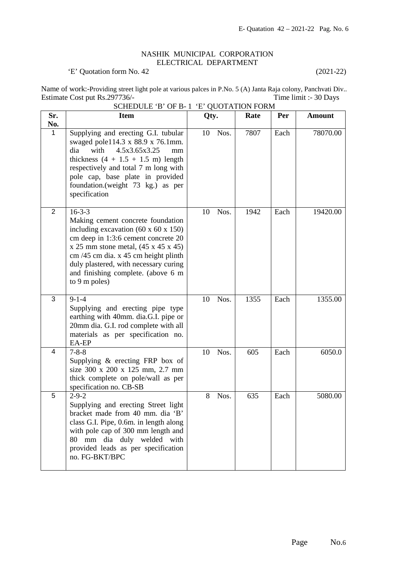### NASHIK MUNICIPAL CORPORATION ELECTRICAL DEPARTMENT

### 'E' Quotation form No. 42 (2021-22)

Name of work:-Providing street light pole at various palces in P.No. 5 (A) Janta Raja colony, Panchvati Div..<br>Estimate Cost put Rs.297736/-<br>Time limit:-30 Days Estimate Cost put Rs.297736/-<br>Time limit :- 30 Days

| Sr.            | SCHEDULE 'B' OF B-1 'E' QUOTATION FORM<br><b>Item</b>                                                                                                                                                                                                                                                                           | Qty.       | Rate | Per  | Amount   |
|----------------|---------------------------------------------------------------------------------------------------------------------------------------------------------------------------------------------------------------------------------------------------------------------------------------------------------------------------------|------------|------|------|----------|
| No.            |                                                                                                                                                                                                                                                                                                                                 |            |      |      |          |
| $\mathbf{1}$   | Supplying and erecting G.I. tubular<br>swaged pole114.3 x 88.9 x 76.1mm.<br>with<br>4.5x3.65x3.25<br>dia<br>mm<br>thickness $(4 + 1.5 + 1.5 \text{ m})$ length<br>respectively and total 7 m long with<br>pole cap, base plate in provided<br>foundation.(weight 73 kg.) as per<br>specification                                | Nos.<br>10 | 7807 | Each | 78070.00 |
| $\overline{2}$ | $16 - 3 - 3$<br>Making cement concrete foundation<br>including excavation $(60 \times 60 \times 150)$<br>cm deep in 1:3:6 cement concrete 20<br>$x 25$ mm stone metal, $(45 x 45 x 45)$<br>cm /45 cm dia. x 45 cm height plinth<br>duly plastered, with necessary curing<br>and finishing complete. (above 6 m<br>to 9 m poles) | Nos.<br>10 | 1942 | Each | 19420.00 |
| 3              | $9 - 1 - 4$<br>Supplying and erecting pipe type<br>earthing with 40mm. dia.G.I. pipe or<br>20mm dia. G.I. rod complete with all<br>materials as per specification no.<br>EA-EP                                                                                                                                                  | Nos.<br>10 | 1355 | Each | 1355.00  |
| $\overline{4}$ | $7 - 8 - 8$<br>Supplying $\&$ erecting FRP box of<br>size 300 x 200 x 125 mm, 2.7 mm<br>thick complete on pole/wall as per<br>specification no. CB-SB                                                                                                                                                                           | Nos.<br>10 | 605  | Each | 6050.0   |
| 5              | $2 - 9 - 2$<br>Supplying and erecting Street light<br>bracket made from 40 mm. dia 'B'<br>class G.I. Pipe, 0.6m. in length along<br>with pole cap of 300 mm length and<br>mm dia duly welded with<br>80<br>provided leads as per specification<br>no. FG-BKT/BPC                                                                | 8<br>Nos.  | 635  | Each | 5080.00  |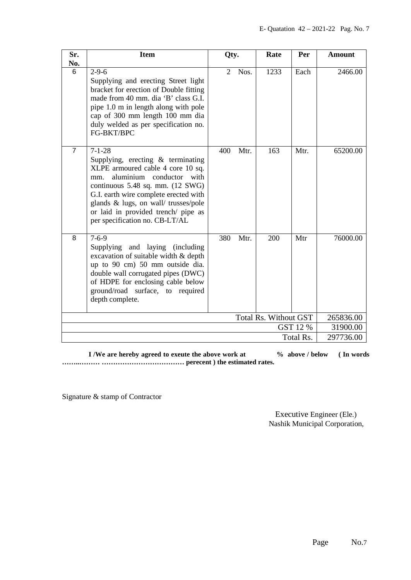| Sr.                          | <b>Item</b>                                                                                                                                                                                                                                                                                                                           | Qty.                                | Rate | Per       | <b>Amount</b> |
|------------------------------|---------------------------------------------------------------------------------------------------------------------------------------------------------------------------------------------------------------------------------------------------------------------------------------------------------------------------------------|-------------------------------------|------|-----------|---------------|
| No.<br>6                     | $2 - 9 - 6$<br>Supplying and erecting Street light<br>bracket for erection of Double fitting<br>made from 40 mm. dia 'B' class G.I.<br>pipe 1.0 m in length along with pole<br>cap of 300 mm length 100 mm dia<br>duly welded as per specification no.<br>FG-BKT/BPC                                                                  | Nos.<br>$\mathcal{D}_{\mathcal{L}}$ | 1233 | Each      | 2466.00       |
| $\overline{7}$               | $7 - 1 - 28$<br>Supplying, erecting $\&$ terminating<br>XLPE armoured cable 4 core 10 sq.<br>aluminium conductor with<br>mm.<br>continuous $5.48$ sq. mm. $(12 \text{ SWG})$<br>G.I. earth wire complete erected with<br>glands & lugs, on wall/trusses/pole<br>or laid in provided trench/ pipe as<br>per specification no. CB-LT/AL | 400<br>Mtr.                         | 163  | Mtr.      | 65200.00      |
| 8                            | $7 - 6 - 9$<br>Supplying and laying (including<br>excavation of suitable width & depth<br>up to 90 cm) 50 mm outside dia.<br>double wall corrugated pipes (DWC)<br>of HDPE for enclosing cable below<br>ground/road surface, to required<br>depth complete.                                                                           | 380<br>Mtr.                         | 200  | Mtr       | 76000.00      |
| <b>Total Rs. Without GST</b> |                                                                                                                                                                                                                                                                                                                                       |                                     |      | 265836.00 |               |
| GST 12 %                     |                                                                                                                                                                                                                                                                                                                                       |                                     |      |           | 31900.00      |
| 297736.00<br>Total Rs.       |                                                                                                                                                                                                                                                                                                                                       |                                     |      |           |               |

**I** /We are hereby agreed to exeute the above work at  $\%$  above / below (In words **……..……… ……………………………… perecent ) the estimated rates.** 

Signature & stamp of Contractor

 Executive Engineer (Ele.) Nashik Municipal Corporation,